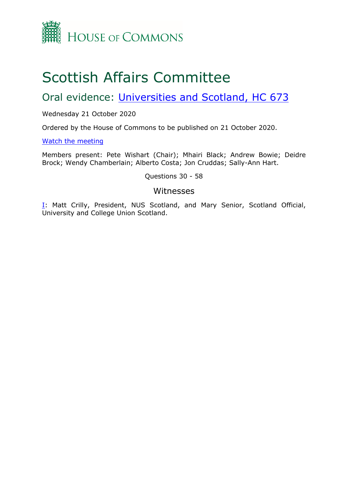

# Scottish Affairs Committee

Oral evidence: [Universities](https://committees.parliament.uk/work/471/universities-and-scotland/) [and](https://committees.parliament.uk/work/471/universities-and-scotland/) [Scotland,](https://committees.parliament.uk/work/471/universities-and-scotland/) [HC](https://committees.parliament.uk/work/471/universities-and-scotland/) [673](https://committees.parliament.uk/work/471/universities-and-scotland/)

Wednesday 21 October 2020

Ordered by the House of Commons to be published on 21 October 2020.

[Watch](https://parliamentlive.tv/event/index/6fa273c3-f7de-4d49-8cf6-b7555904435f) [the](https://parliamentlive.tv/event/index/6fa273c3-f7de-4d49-8cf6-b7555904435f) [meeting](https://parliamentlive.tv/event/index/6fa273c3-f7de-4d49-8cf6-b7555904435f)

Members present: Pete Wishart (Chair); Mhairi Black; Andrew Bowie; Deidre Brock; Wendy Chamberlain; Alberto Costa; Jon Cruddas; Sally-Ann Hart.

Questions 30 - 58

### Witnesses

[I:](#page-1-0) Matt Crilly, President, NUS Scotland, and Mary Senior, Scotland Official, University and College Union Scotland.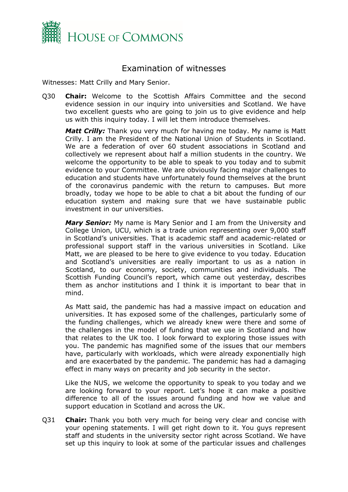

## <span id="page-1-0"></span>Examination of witnesses

Witnesses: Matt Crilly and Mary Senior.

Q30 **Chair:** Welcome to the Scottish Affairs Committee and the second evidence session in our inquiry into universities and Scotland. We have two excellent guests who are going to join us to give evidence and help us with this inquiry today. I will let them introduce themselves.

*Matt Crilly:* Thank you very much for having me today. My name is Matt Crilly. I am the President of the National Union of Students in Scotland. We are a federation of over 60 student associations in Scotland and collectively we represent about half a million students in the country. We welcome the opportunity to be able to speak to you today and to submit evidence to your Committee. We are obviously facing major challenges to education and students have unfortunately found themselves at the brunt of the coronavirus pandemic with the return to campuses. But more broadly, today we hope to be able to chat a bit about the funding of our education system and making sure that we have sustainable public investment in our universities.

*Mary Senior:* My name is Mary Senior and I am from the University and College Union, UCU, which is a trade union representing over 9,000 staff in Scotland's universities. That is academic staff and academic-related or professional support staff in the various universities in Scotland. Like Matt, we are pleased to be here to give evidence to you today. Education and Scotland's universities are really important to us as a nation in Scotland, to our economy, society, communities and individuals. The Scottish Funding Council's report, which came out yesterday, describes them as anchor institutions and I think it is important to bear that in mind.

As Matt said, the pandemic has had a massive impact on education and universities. It has exposed some of the challenges, particularly some of the funding challenges, which we already knew were there and some of the challenges in the model of funding that we use in Scotland and how that relates to the UK too. I look forward to exploring those issues with you. The pandemic has magnified some of the issues that our members have, particularly with workloads, which were already exponentially high and are exacerbated by the pandemic. The pandemic has had a damaging effect in many ways on precarity and job security in the sector.

Like the NUS, we welcome the opportunity to speak to you today and we are looking forward to your report. Let's hope it can make a positive difference to all of the issues around funding and how we value and support education in Scotland and across the UK.

Q31 **Chair:** Thank you both very much for being very clear and concise with your opening statements. I will get right down to it. You guys represent staff and students in the university sector right across Scotland. We have set up this inquiry to look at some of the particular issues and challenges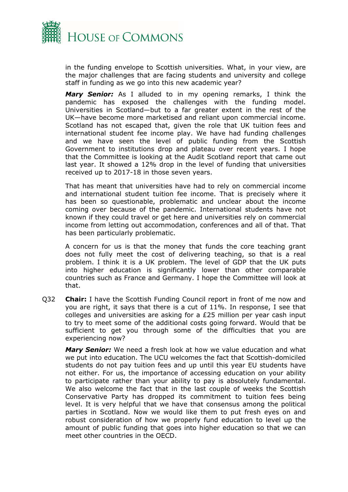

in the funding envelope to Scottish universities. What, in your view, are the major challenges that are facing students and university and college staff in funding as we go into this new academic year?

*Mary Senior:* As I alluded to in my opening remarks, I think the pandemic has exposed the challenges with the funding model. Universities in Scotland—but to a far greater extent in the rest of the UK—have become more marketised and reliant upon commercial income. Scotland has not escaped that, given the role that UK tuition fees and international student fee income play. We have had funding challenges and we have seen the level of public funding from the Scottish Government to institutions drop and plateau over recent years. I hope that the Committee is looking at the Audit Scotland report that came out last year. It showed a 12% drop in the level of funding that universities received up to 2017-18 in those seven years.

That has meant that universities have had to rely on commercial income and international student tuition fee income. That is precisely where it has been so questionable, problematic and unclear about the income coming over because of the pandemic. International students have not known if they could travel or get here and universities rely on commercial income from letting out accommodation, conferences and all of that. That has been particularly problematic.

A concern for us is that the money that funds the core teaching grant does not fully meet the cost of delivering teaching, so that is a real problem. I think it is a UK problem. The level of GDP that the UK puts into higher education is significantly lower than other comparable countries such as France and Germany. I hope the Committee will look at that.

Q32 **Chair:** I have the Scottish Funding Council report in front of me now and you are right, it says that there is a cut of 11%. In response, I see that colleges and universities are asking for a £25 million per year cash input to try to meet some of the additional costs going forward. Would that be sufficient to get you through some of the difficulties that you are experiencing now?

*Mary Senior:* We need a fresh look at how we value education and what we put into education. The UCU welcomes the fact that Scottish-domiciled students do not pay tuition fees and up until this year EU students have not either. For us, the importance of accessing education on your ability to participate rather than your ability to pay is absolutely fundamental. We also welcome the fact that in the last couple of weeks the Scottish Conservative Party has dropped its commitment to tuition fees being level. It is very helpful that we have that consensus among the political parties in Scotland. Now we would like them to put fresh eyes on and robust consideration of how we properly fund education to level up the amount of public funding that goes into higher education so that we can meet other countries in the OECD.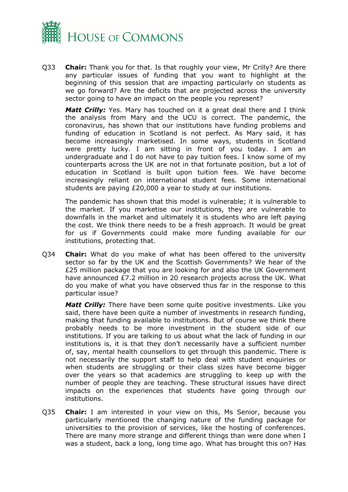

Q33 **Chair:** Thank you for that. Is that roughly your view, Mr Crilly? Are there any particular issues of funding that you want to highlight at the beginning of this session that are impacting particularly on students as we go forward? Are the deficits that are projected across the university sector going to have an impact on the people you represent?

*Matt Crilly:* Yes. Mary has touched on it a great deal there and I think the analysis from Mary and the UCU is correct. The pandemic, the coronavirus, has shown that our institutions have funding problems and funding of education in Scotland is not perfect. As Mary said, it has become increasingly marketised. In some ways, students in Scotland were pretty lucky. I am sitting in front of you today. I am an undergraduate and I do not have to pay tuition fees. I know some of my counterparts across the UK are not in that fortunate position, but a lot of education in Scotland is built upon tuition fees. We have become increasingly reliant on international student fees. Some international students are paying £20,000 a year to study at our institutions.

The pandemic has shown that this model is vulnerable; it is vulnerable to the market. If you marketise our institutions, they are vulnerable to downfalls in the market and ultimately it is students who are left paying the cost. We think there needs to be a fresh approach. It would be great for us if Governments could make more funding available for our institutions, protecting that.

Q34 **Chair:** What do you make of what has been offered to the university sector so far by the UK and the Scottish Governments? We hear of the £25 million package that you are looking for and also the UK Government have announced £7.2 million in 20 research projects across the UK. What do you make of what you have observed thus far in the response to this particular issue?

*Matt Crilly:* There have been some quite positive investments. Like you said, there have been quite a number of investments in research funding, making that funding available to institutions. But of course we think there probably needs to be more investment in the student side of our institutions. If you are talking to us about what the lack of funding in our institutions is, it is that they don't necessarily have a sufficient number of, say, mental health counsellors to get through this pandemic. There is not necessarily the support staff to help deal with student enquiries or when students are struggling or their class sizes have become bigger over the years so that academics are struggling to keep up with the number of people they are teaching. These structural issues have direct impacts on the experiences that students have going through our institutions.

Q35 **Chair:** I am interested in your view on this, Ms Senior, because you particularly mentioned the changing nature of the funding package for universities to the provision of services, like the hosting of conferences. There are many more strange and different things than were done when I was a student, back a long, long time ago. What has brought this on? Has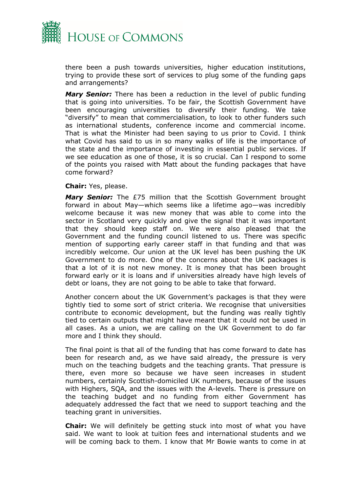

there been a push towards universities, higher education institutions, trying to provide these sort of services to plug some of the funding gaps and arrangements?

*Mary Senior:* There has been a reduction in the level of public funding that is going into universities. To be fair, the Scottish Government have been encouraging universities to diversify their funding. We take "diversify" to mean that commercialisation, to look to other funders such as international students, conference income and commercial income. That is what the Minister had been saying to us prior to Covid. I think what Covid has said to us in so many walks of life is the importance of the state and the importance of investing in essential public services. If we see education as one of those, it is so crucial. Can I respond to some of the points you raised with Matt about the funding packages that have come forward?

#### **Chair:** Yes, please.

*Mary Senior:* The £75 million that the Scottish Government brought forward in about May—which seems like a lifetime ago—was incredibly welcome because it was new money that was able to come into the sector in Scotland very quickly and give the signal that it was important that they should keep staff on. We were also pleased that the Government and the funding council listened to us. There was specific mention of supporting early career staff in that funding and that was incredibly welcome. Our union at the UK level has been pushing the UK Government to do more. One of the concerns about the UK packages is that a lot of it is not new money. It is money that has been brought forward early or it is loans and if universities already have high levels of debt or loans, they are not going to be able to take that forward.

Another concern about the UK Government's packages is that they were tightly tied to some sort of strict criteria. We recognise that universities contribute to economic development, but the funding was really tightly tied to certain outputs that might have meant that it could not be used in all cases. As a union, we are calling on the UK Government to do far more and I think they should.

The final point is that all of the funding that has come forward to date has been for research and, as we have said already, the pressure is very much on the teaching budgets and the teaching grants. That pressure is there, even more so because we have seen increases in student numbers, certainly Scottish-domiciled UK numbers, because of the issues with Highers, SQA, and the issues with the A-levels. There is pressure on the teaching budget and no funding from either Government has adequately addressed the fact that we need to support teaching and the teaching grant in universities.

**Chair:** We will definitely be getting stuck into most of what you have said. We want to look at tuition fees and international students and we will be coming back to them. I know that Mr Bowie wants to come in at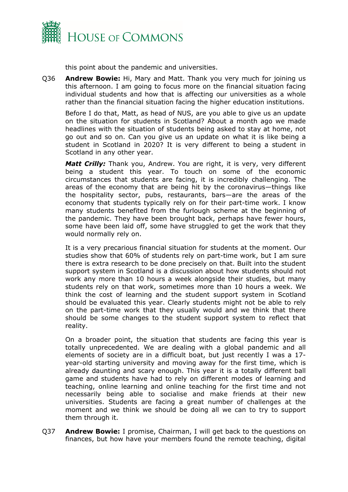

this point about the pandemic and universities.

Q36 **Andrew Bowie:** Hi, Mary and Matt. Thank you very much for joining us this afternoon. I am going to focus more on the financial situation facing individual students and how that is affecting our universities as a whole rather than the financial situation facing the higher education institutions.

Before I do that, Matt, as head of NUS, are you able to give us an update on the situation for students in Scotland? About a month ago we made headlines with the situation of students being asked to stay at home, not go out and so on. Can you give us an update on what it is like being a student in Scotland in 2020? It is very different to being a student in Scotland in any other year.

*Matt Crilly:* Thank you, Andrew. You are right, it is very, very different being a student this year. To touch on some of the economic circumstances that students are facing, it is incredibly challenging. The areas of the economy that are being hit by the coronavirus—things like the hospitality sector, pubs, restaurants, bars—are the areas of the economy that students typically rely on for their part-time work. I know many students benefited from the furlough scheme at the beginning of the pandemic. They have been brought back, perhaps have fewer hours, some have been laid off, some have struggled to get the work that they would normally rely on.

It is a very precarious financial situation for students at the moment. Our studies show that 60% of students rely on part-time work, but I am sure there is extra research to be done precisely on that. Built into the student support system in Scotland is a discussion about how students should not work any more than 10 hours a week alongside their studies, but many students rely on that work, sometimes more than 10 hours a week. We think the cost of learning and the student support system in Scotland should be evaluated this year. Clearly students might not be able to rely on the part-time work that they usually would and we think that there should be some changes to the student support system to reflect that reality.

On a broader point, the situation that students are facing this year is totally unprecedented. We are dealing with a global pandemic and all elements of society are in a difficult boat, but just recently I was a 17 year-old starting university and moving away for the first time, which is already daunting and scary enough. This year it is a totally different ball game and students have had to rely on different modes of learning and teaching, online learning and online teaching for the first time and not necessarily being able to socialise and make friends at their new universities. Students are facing a great number of challenges at the moment and we think we should be doing all we can to try to support them through it.

Q37 **Andrew Bowie:** I promise, Chairman, I will get back to the questions on finances, but how have your members found the remote teaching, digital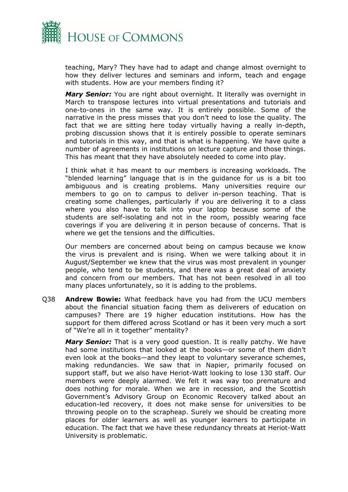

teaching, Mary? They have had to adapt and change almost overnight to how they deliver lectures and seminars and inform, teach and engage with students. How are your members finding it?

*Mary Senior:* You are right about overnight. It literally was overnight in March to transpose lectures into virtual presentations and tutorials and one-to-ones in the same way. It is entirely possible. Some of the narrative in the press misses that you don't need to lose the quality. The fact that we are sitting here today virtually having a really in-depth, probing discussion shows that it is entirely possible to operate seminars and tutorials in this way, and that is what is happening. We have quite a number of agreements in institutions on lecture capture and those things. This has meant that they have absolutely needed to come into play.

I think what it has meant to our members is increasing workloads. The "blended learning" language that is in the guidance for us is a bit too ambiguous and is creating problems. Many universities require our members to go on to campus to deliver in-person teaching. That is creating some challenges, particularly if you are delivering it to a class where you also have to talk into your laptop because some of the students are self-isolating and not in the room, possibly wearing face coverings if you are delivering it in person because of concerns. That is where we get the tensions and the difficulties.

Our members are concerned about being on campus because we know the virus is prevalent and is rising. When we were talking about it in August/September we knew that the virus was most prevalent in younger people, who tend to be students, and there was a great deal of anxiety and concern from our members. That has not been resolved in all too many places unfortunately, so it is adding to the problems.

Q38 **Andrew Bowie:** What feedback have you had from the UCU members about the financial situation facing them as deliverers of education on campuses? There are 19 higher education institutions. How has the support for them differed across Scotland or has it been very much a sort of "We're all in it together" mentality?

*Mary Senior:* That is a very good question. It is really patchy. We have had some institutions that looked at the books—or some of them didn't even look at the books—and they leapt to voluntary severance schemes, making redundancies. We saw that in Napier, primarily focused on support staff, but we also have Heriot-Watt looking to lose 130 staff. Our members were deeply alarmed. We felt it was way too premature and does nothing for morale. When we are in recession, and the Scottish Government's Advisory Group on Economic Recovery talked about an education-led recovery, it does not make sense for universities to be throwing people on to the scrapheap. Surely we should be creating more places for older learners as well as younger learners to participate in education. The fact that we have these redundancy threats at Heriot-Watt University is problematic.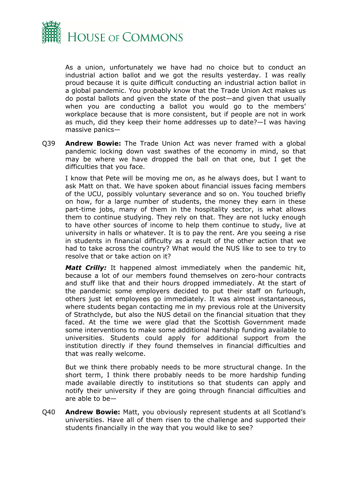

As a union, unfortunately we have had no choice but to conduct an industrial action ballot and we got the results yesterday. I was really proud because it is quite difficult conducting an industrial action ballot in a global pandemic. You probably know that the Trade Union Act makes us do postal ballots and given the state of the post—and given that usually when you are conducting a ballot you would go to the members' workplace because that is more consistent, but if people are not in work as much, did they keep their home addresses up to date?—I was having massive panics—

Q39 **Andrew Bowie:** The Trade Union Act was never framed with a global pandemic locking down vast swathes of the economy in mind, so that may be where we have dropped the ball on that one, but I get the difficulties that you face.

I know that Pete will be moving me on, as he always does, but I want to ask Matt on that. We have spoken about financial issues facing members of the UCU, possibly voluntary severance and so on. You touched briefly on how, for a large number of students, the money they earn in these part-time jobs, many of them in the hospitality sector, is what allows them to continue studying. They rely on that. They are not lucky enough to have other sources of income to help them continue to study, live at university in halls or whatever. It is to pay the rent. Are you seeing a rise in students in financial difficulty as a result of the other action that we had to take across the country? What would the NUS like to see to try to resolve that or take action on it?

*Matt Crilly:* It happened almost immediately when the pandemic hit, because a lot of our members found themselves on zero-hour contracts and stuff like that and their hours dropped immediately. At the start of the pandemic some employers decided to put their staff on furlough, others just let employees go immediately. It was almost instantaneous, where students began contacting me in my previous role at the University of Strathclyde, but also the NUS detail on the financial situation that they faced. At the time we were glad that the Scottish Government made some interventions to make some additional hardship funding available to universities. Students could apply for additional support from the institution directly if they found themselves in financial difficulties and that was really welcome.

But we think there probably needs to be more structural change. In the short term, I think there probably needs to be more hardship funding made available directly to institutions so that students can apply and notify their university if they are going through financial difficulties and are able to be—

Q40 **Andrew Bowie:** Matt, you obviously represent students at all Scotland's universities. Have all of them risen to the challenge and supported their students financially in the way that you would like to see?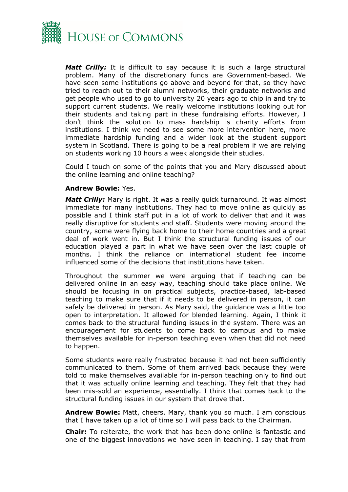

*Matt Crilly:* It is difficult to say because it is such a large structural problem. Many of the discretionary funds are Government-based. We have seen some institutions go above and beyond for that, so they have tried to reach out to their alumni networks, their graduate networks and get people who used to go to university 20 years ago to chip in and try to support current students. We really welcome institutions looking out for their students and taking part in these fundraising efforts. However, I don't think the solution to mass hardship is charity efforts from institutions. I think we need to see some more intervention here, more immediate hardship funding and a wider look at the student support system in Scotland. There is going to be a real problem if we are relying on students working 10 hours a week alongside their studies.

Could I touch on some of the points that you and Mary discussed about the online learning and online teaching?

#### **Andrew Bowie:** Yes.

*Matt Crilly:* Mary is right. It was a really quick turnaround. It was almost immediate for many institutions. They had to move online as quickly as possible and I think staff put in a lot of work to deliver that and it was really disruptive for students and staff. Students were moving around the country, some were flying back home to their home countries and a great deal of work went in. But I think the structural funding issues of our education played a part in what we have seen over the last couple of months. I think the reliance on international student fee income influenced some of the decisions that institutions have taken.

Throughout the summer we were arguing that if teaching can be delivered online in an easy way, teaching should take place online. We should be focusing in on practical subjects, practice-based, lab-based teaching to make sure that if it needs to be delivered in person, it can safely be delivered in person. As Mary said, the guidance was a little too open to interpretation. It allowed for blended learning. Again, I think it comes back to the structural funding issues in the system. There was an encouragement for students to come back to campus and to make themselves available for in-person teaching even when that did not need to happen.

Some students were really frustrated because it had not been sufficiently communicated to them. Some of them arrived back because they were told to make themselves available for in-person teaching only to find out that it was actually online learning and teaching. They felt that they had been mis-sold an experience, essentially. I think that comes back to the structural funding issues in our system that drove that.

**Andrew Bowie:** Matt, cheers. Mary, thank you so much. I am conscious that I have taken up a lot of time so I will pass back to the Chairman.

**Chair:** To reiterate, the work that has been done online is fantastic and one of the biggest innovations we have seen in teaching. I say that from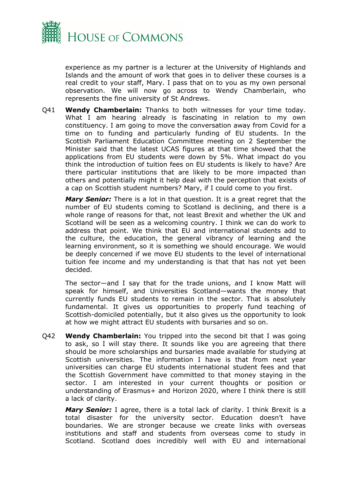

experience as my partner is a lecturer at the University of Highlands and Islands and the amount of work that goes in to deliver these courses is a real credit to your staff, Mary. I pass that on to you as my own personal observation. We will now go across to Wendy Chamberlain, who represents the fine university of St Andrews.

Q41 **Wendy Chamberlain:** Thanks to both witnesses for your time today. What I am hearing already is fascinating in relation to my own constituency. I am going to move the conversation away from Covid for a time on to funding and particularly funding of EU students. In the Scottish Parliament Education Committee meeting on 2 September the Minister said that the latest UCAS figures at that time showed that the applications from EU students were down by 5%. What impact do you think the introduction of tuition fees on EU students is likely to have? Are there particular institutions that are likely to be more impacted than others and potentially might it help deal with the perception that exists of a cap on Scottish student numbers? Mary, if I could come to you first.

*Mary Senior:* There is a lot in that question. It is a great regret that the number of EU students coming to Scotland is declining, and there is a whole range of reasons for that, not least Brexit and whether the UK and Scotland will be seen as a welcoming country. I think we can do work to address that point. We think that EU and international students add to the culture, the education, the general vibrancy of learning and the learning environment, so it is something we should encourage. We would be deeply concerned if we move EU students to the level of international tuition fee income and my understanding is that that has not yet been decided.

The sector—and I say that for the trade unions, and I know Matt will speak for himself, and Universities Scotland—wants the money that currently funds EU students to remain in the sector. That is absolutely fundamental. It gives us opportunities to properly fund teaching of Scottish-domiciled potentially, but it also gives us the opportunity to look at how we might attract EU students with bursaries and so on.

Q42 **Wendy Chamberlain:** You tripped into the second bit that I was going to ask, so I will stay there. It sounds like you are agreeing that there should be more scholarships and bursaries made available for studying at Scottish universities. The information I have is that from next year universities can charge EU students international student fees and that the Scottish Government have committed to that money staying in the sector. I am interested in your current thoughts or position or understanding of Erasmus+ and Horizon 2020, where I think there is still a lack of clarity.

*Mary Senior:* I agree, there is a total lack of clarity. I think Brexit is a total disaster for the university sector. Education doesn't have boundaries. We are stronger because we create links with overseas institutions and staff and students from overseas come to study in Scotland. Scotland does incredibly well with EU and international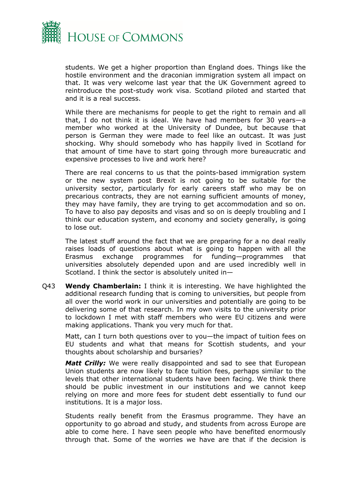

students. We get a higher proportion than England does. Things like the hostile environment and the draconian immigration system all impact on that. It was very welcome last year that the UK Government agreed to reintroduce the post-study work visa. Scotland piloted and started that and it is a real success.

While there are mechanisms for people to get the right to remain and all that, I do not think it is ideal. We have had members for 30 years—a member who worked at the University of Dundee, but because that person is German they were made to feel like an outcast. It was just shocking. Why should somebody who has happily lived in Scotland for that amount of time have to start going through more bureaucratic and expensive processes to live and work here?

There are real concerns to us that the points-based immigration system or the new system post Brexit is not going to be suitable for the university sector, particularly for early careers staff who may be on precarious contracts, they are not earning sufficient amounts of money, they may have family, they are trying to get accommodation and so on. To have to also pay deposits and visas and so on is deeply troubling and I think our education system, and economy and society generally, is going to lose out.

The latest stuff around the fact that we are preparing for a no deal really raises loads of questions about what is going to happen with all the Erasmus exchange programmes for funding—programmes that universities absolutely depended upon and are used incredibly well in Scotland. I think the sector is absolutely united in—

Q43 **Wendy Chamberlain:** I think it is interesting. We have highlighted the additional research funding that is coming to universities, but people from all over the world work in our universities and potentially are going to be delivering some of that research. In my own visits to the university prior to lockdown I met with staff members who were EU citizens and were making applications. Thank you very much for that.

Matt, can I turn both questions over to you—the impact of tuition fees on EU students and what that means for Scottish students, and your thoughts about scholarship and bursaries?

*Matt Crilly:* We were really disappointed and sad to see that European Union students are now likely to face tuition fees, perhaps similar to the levels that other international students have been facing. We think there should be public investment in our institutions and we cannot keep relying on more and more fees for student debt essentially to fund our institutions. It is a major loss.

Students really benefit from the Erasmus programme. They have an opportunity to go abroad and study, and students from across Europe are able to come here. I have seen people who have benefited enormously through that. Some of the worries we have are that if the decision is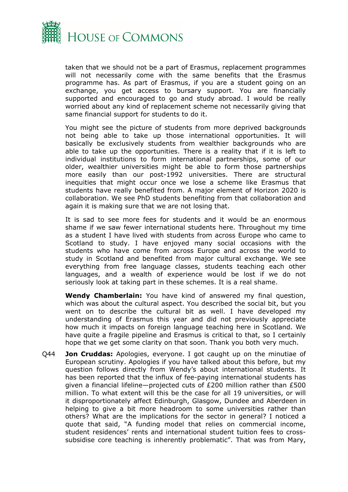

taken that we should not be a part of Erasmus, replacement programmes will not necessarily come with the same benefits that the Erasmus programme has. As part of Erasmus, if you are a student going on an exchange, you get access to bursary support. You are financially supported and encouraged to go and study abroad. I would be really worried about any kind of replacement scheme not necessarily giving that same financial support for students to do it.

You might see the picture of students from more deprived backgrounds not being able to take up those international opportunities. It will basically be exclusively students from wealthier backgrounds who are able to take up the opportunities. There is a reality that if it is left to individual institutions to form international partnerships, some of our older, wealthier universities might be able to form those partnerships more easily than our post-1992 universities. There are structural inequities that might occur once we lose a scheme like Erasmus that students have really benefited from. A major element of Horizon 2020 is collaboration. We see PhD students benefiting from that collaboration and again it is making sure that we are not losing that.

It is sad to see more fees for students and it would be an enormous shame if we saw fewer international students here. Throughout my time as a student I have lived with students from across Europe who came to Scotland to study. I have enjoyed many social occasions with the students who have come from across Europe and across the world to study in Scotland and benefited from major cultural exchange. We see everything from free language classes, students teaching each other languages, and a wealth of experience would be lost if we do not seriously look at taking part in these schemes. It is a real shame.

**Wendy Chamberlain:** You have kind of answered my final question, which was about the cultural aspect. You described the social bit, but you went on to describe the cultural bit as well. I have developed my understanding of Erasmus this year and did not previously appreciate how much it impacts on foreign language teaching here in Scotland. We have quite a fragile pipeline and Erasmus is critical to that, so I certainly hope that we get some clarity on that soon. Thank you both very much.

Q44 **Jon Cruddas:** Apologies, everyone. I got caught up on the minutiae of European scrutiny. Apologies if you have talked about this before, but my question follows directly from Wendy's about international students. It has been reported that the influx of fee-paying international students has given a financial lifeline—projected cuts of £200 million rather than £500 million. To what extent will this be the case for all 19 universities, or will it disproportionately affect Edinburgh, Glasgow, Dundee and Aberdeen in helping to give a bit more headroom to some universities rather than others? What are the implications for the sector in general? I noticed a quote that said, "A funding model that relies on commercial income, student residences' rents and international student tuition fees to crosssubsidise core teaching is inherently problematic". That was from Mary,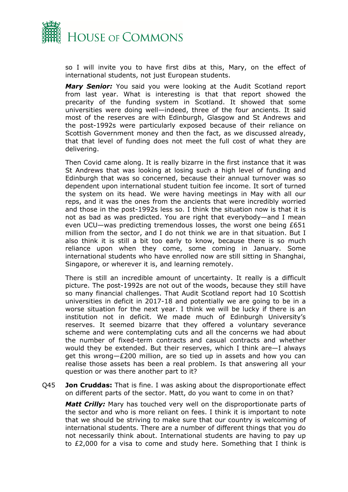

so I will invite you to have first dibs at this, Mary, on the effect of international students, not just European students.

*Mary Senior:* You said you were looking at the Audit Scotland report from last year. What is interesting is that that report showed the precarity of the funding system in Scotland. It showed that some universities were doing well—indeed, three of the four ancients. It said most of the reserves are with Edinburgh, Glasgow and St Andrews and the post-1992s were particularly exposed because of their reliance on Scottish Government money and then the fact, as we discussed already, that that level of funding does not meet the full cost of what they are delivering.

Then Covid came along. It is really bizarre in the first instance that it was St Andrews that was looking at losing such a high level of funding and Edinburgh that was so concerned, because their annual turnover was so dependent upon international student tuition fee income. It sort of turned the system on its head. We were having meetings in May with all our reps, and it was the ones from the ancients that were incredibly worried and those in the post-1992s less so. I think the situation now is that it is not as bad as was predicted. You are right that everybody—and I mean even UCU—was predicting tremendous losses, the worst one being £651 million from the sector, and I do not think we are in that situation. But I also think it is still a bit too early to know, because there is so much reliance upon when they come, some coming in January. Some international students who have enrolled now are still sitting in Shanghai, Singapore, or wherever it is, and learning remotely.

There is still an incredible amount of uncertainty. It really is a difficult picture. The post-1992s are not out of the woods, because they still have so many financial challenges. That Audit Scotland report had 10 Scottish universities in deficit in 2017-18 and potentially we are going to be in a worse situation for the next year. I think we will be lucky if there is an institution not in deficit. We made much of Edinburgh University's reserves. It seemed bizarre that they offered a voluntary severance scheme and were contemplating cuts and all the concerns we had about the number of fixed-term contracts and casual contracts and whether would they be extended. But their reserves, which I think are—I always get this wrong—£200 million, are so tied up in assets and how you can realise those assets has been a real problem. Is that answering all your question or was there another part to it?

Q45 **Jon Cruddas:** That is fine. I was asking about the disproportionate effect on different parts of the sector. Matt, do you want to come in on that?

*Matt Crilly:* Mary has touched very well on the disproportionate parts of the sector and who is more reliant on fees. I think it is important to note that we should be striving to make sure that our country is welcoming of international students. There are a number of different things that you do not necessarily think about. International students are having to pay up to £2,000 for a visa to come and study here. Something that I think is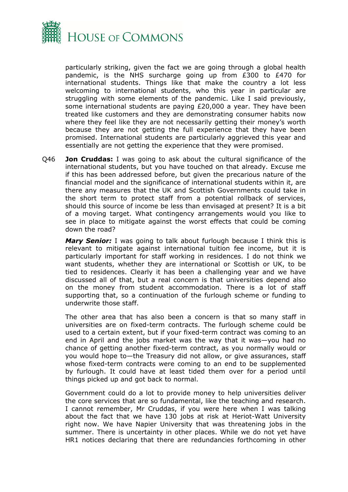

particularly striking, given the fact we are going through a global health pandemic, is the NHS surcharge going up from £300 to £470 for international students. Things like that make the country a lot less welcoming to international students, who this year in particular are struggling with some elements of the pandemic. Like I said previously, some international students are paying £20,000 a year. They have been treated like customers and they are demonstrating consumer habits now where they feel like they are not necessarily getting their money's worth because they are not getting the full experience that they have been promised. International students are particularly aggrieved this year and essentially are not getting the experience that they were promised.

Q46 **Jon Cruddas:** I was going to ask about the cultural significance of the international students, but you have touched on that already. Excuse me if this has been addressed before, but given the precarious nature of the financial model and the significance of international students within it, are there any measures that the UK and Scottish Governments could take in the short term to protect staff from a potential rollback of services, should this source of income be less than envisaged at present? It is a bit of a moving target. What contingency arrangements would you like to see in place to mitigate against the worst effects that could be coming down the road?

*Mary Senior:* I was going to talk about furlough because I think this is relevant to mitigate against international tuition fee income, but it is particularly important for staff working in residences. I do not think we want students, whether they are international or Scottish or UK, to be tied to residences. Clearly it has been a challenging year and we have discussed all of that, but a real concern is that universities depend also on the money from student accommodation. There is a lot of staff supporting that, so a continuation of the furlough scheme or funding to underwrite those staff.

The other area that has also been a concern is that so many staff in universities are on fixed-term contracts. The furlough scheme could be used to a certain extent, but if your fixed-term contract was coming to an end in April and the jobs market was the way that it was—you had no chance of getting another fixed-term contract, as you normally would or you would hope to—the Treasury did not allow, or give assurances, staff whose fixed-term contracts were coming to an end to be supplemented by furlough. It could have at least tided them over for a period until things picked up and got back to normal.

Government could do a lot to provide money to help universities deliver the core services that are so fundamental, like the teaching and research. I cannot remember, Mr Cruddas, if you were here when I was talking about the fact that we have 130 jobs at risk at Heriot-Watt University right now. We have Napier University that was threatening jobs in the summer. There is uncertainty in other places. While we do not yet have HR1 notices declaring that there are redundancies forthcoming in other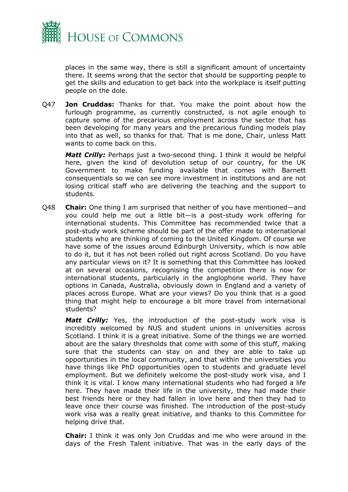

places in the same way, there is still a significant amount of uncertainty there. It seems wrong that the sector that should be supporting people to get the skills and education to get back into the workplace is itself putting people on the dole.

Q47 **Jon Cruddas:** Thanks for that. You make the point about how the furlough programme, as currently constructed, is not agile enough to capture some of the precarious employment across the sector that has been developing for many years and the precarious funding models play into that as well, so thanks for that. That is me done, Chair, unless Matt wants to come back on this.

*Matt Crilly:* Perhaps just a two-second thing. I think it would be helpful here, given the kind of devolution setup of our country, for the UK Government to make funding available that comes with Barnett consequentials so we can see more investment in institutions and are not losing critical staff who are delivering the teaching and the support to students.

Q48 **Chair:** One thing I am surprised that neither of you have mentioned—and you could help me out a little bit—is a post-study work offering for international students. This Committee has recommended twice that a post-study work scheme should be part of the offer made to international students who are thinking of coming to the United Kingdom. Of course we have some of the issues around Edinburgh University, which is now able to do it, but it has not been rolled out right across Scotland. Do you have any particular views on it? It is something that this Committee has looked at on several occasions, recognising the competition there is now for international students, particularly in the anglophone world. They have options in Canada, Australia, obviously down in England and a variety of places across Europe. What are your views? Do you think that is a good thing that might help to encourage a bit more travel from international students?

*Matt Crilly:* Yes, the introduction of the post-study work visa is incredibly welcomed by NUS and student unions in universities across Scotland. I think it is a great initiative. Some of the things we are worried about are the salary thresholds that come with some of this stuff, making sure that the students can stay on and they are able to take up opportunities in the local community, and that within the universities you have things like PhD opportunities open to students and graduate level employment. But we definitely welcome the post-study work visa, and I think it is vital. I know many international students who had forged a life here. They have made their life in the university, they had made their best friends here or they had fallen in love here and then they had to leave once their course was finished. The introduction of the post-study work visa was a really great initiative, and thanks to this Committee for helping drive that.

**Chair:** I think it was only Jon Cruddas and me who were around in the days of the Fresh Talent initiative. That was in the early days of the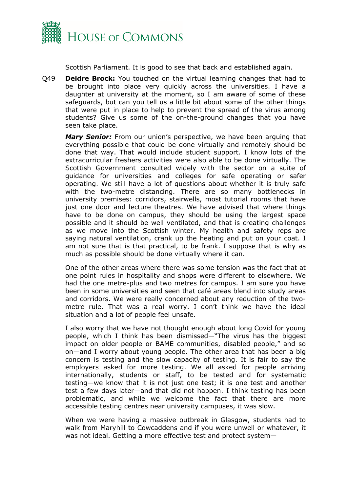

Scottish Parliament. It is good to see that back and established again.

Q49 **Deidre Brock:** You touched on the virtual learning changes that had to be brought into place very quickly across the universities. I have a daughter at university at the moment, so I am aware of some of these safeguards, but can you tell us a little bit about some of the other things that were put in place to help to prevent the spread of the virus among students? Give us some of the on-the-ground changes that you have seen take place.

*Mary Senior:* From our union's perspective, we have been arguing that everything possible that could be done virtually and remotely should be done that way. That would include student support. I know lots of the extracurricular freshers activities were also able to be done virtually. The Scottish Government consulted widely with the sector on a suite of guidance for universities and colleges for safe operating or safer operating. We still have a lot of questions about whether it is truly safe with the two-metre distancing. There are so many bottlenecks in university premises: corridors, stairwells, most tutorial rooms that have just one door and lecture theatres. We have advised that where things have to be done on campus, they should be using the largest space possible and it should be well ventilated, and that is creating challenges as we move into the Scottish winter. My health and safety reps are saying natural ventilation, crank up the heating and put on your coat. I am not sure that is that practical, to be frank. I suppose that is why as much as possible should be done virtually where it can.

One of the other areas where there was some tension was the fact that at one point rules in hospitality and shops were different to elsewhere. We had the one metre-plus and two metres for campus. I am sure you have been in some universities and seen that café areas blend into study areas and corridors. We were really concerned about any reduction of the twometre rule. That was a real worry. I don't think we have the ideal situation and a lot of people feel unsafe.

I also worry that we have not thought enough about long Covid for young people, which I think has been dismissed—"The virus has the biggest impact on older people or BAME communities, disabled people," and so on—and I worry about young people. The other area that has been a big concern is testing and the slow capacity of testing. It is fair to say the employers asked for more testing. We all asked for people arriving internationally, students or staff, to be tested and for systematic testing—we know that it is not just one test; it is one test and another test a few days later—and that did not happen. I think testing has been problematic, and while we welcome the fact that there are more accessible testing centres near university campuses, it was slow.

When we were having a massive outbreak in Glasgow, students had to walk from Maryhill to Cowcaddens and if you were unwell or whatever, it was not ideal. Getting a more effective test and protect system—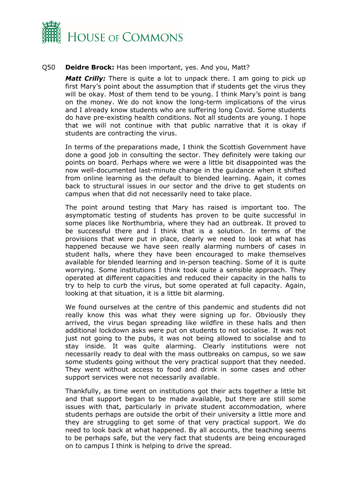

#### Q50 **Deidre Brock:** Has been important, yes. And you, Matt?

*Matt Crilly:* There is quite a lot to unpack there. I am going to pick up first Mary's point about the assumption that if students get the virus they will be okay. Most of them tend to be young. I think Mary's point is bang on the money. We do not know the long-term implications of the virus and I already know students who are suffering long Covid. Some students do have pre-existing health conditions. Not all students are young. I hope that we will not continue with that public narrative that it is okay if students are contracting the virus.

In terms of the preparations made, I think the Scottish Government have done a good job in consulting the sector. They definitely were taking our points on board. Perhaps where we were a little bit disappointed was the now well-documented last-minute change in the guidance when it shifted from online learning as the default to blended learning. Again, it comes back to structural issues in our sector and the drive to get students on campus when that did not necessarily need to take place.

The point around testing that Mary has raised is important too. The asymptomatic testing of students has proven to be quite successful in some places like Northumbria, where they had an outbreak. It proved to be successful there and I think that is a solution. In terms of the provisions that were put in place, clearly we need to look at what has happened because we have seen really alarming numbers of cases in student halls, where they have been encouraged to make themselves available for blended learning and in-person teaching. Some of it is quite worrying. Some institutions I think took quite a sensible approach. They operated at different capacities and reduced their capacity in the halls to try to help to curb the virus, but some operated at full capacity. Again, looking at that situation, it is a little bit alarming.

We found ourselves at the centre of this pandemic and students did not really know this was what they were signing up for. Obviously they arrived, the virus began spreading like wildfire in these halls and then additional lockdown asks were put on students to not socialise. It was not just not going to the pubs, it was not being allowed to socialise and to stay inside. It was quite alarming. Clearly institutions were not necessarily ready to deal with the mass outbreaks on campus, so we saw some students going without the very practical support that they needed. They went without access to food and drink in some cases and other support services were not necessarily available.

Thankfully, as time went on institutions got their acts together a little bit and that support began to be made available, but there are still some issues with that, particularly in private student accommodation, where students perhaps are outside the orbit of their university a little more and they are struggling to get some of that very practical support. We do need to look back at what happened. By all accounts, the teaching seems to be perhaps safe, but the very fact that students are being encouraged on to campus I think is helping to drive the spread.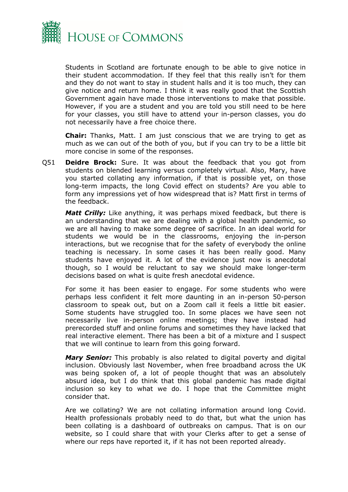

Students in Scotland are fortunate enough to be able to give notice in their student accommodation. If they feel that this really isn't for them and they do not want to stay in student halls and it is too much, they can give notice and return home. I think it was really good that the Scottish Government again have made those interventions to make that possible. However, if you are a student and you are told you still need to be here for your classes, you still have to attend your in-person classes, you do not necessarily have a free choice there.

**Chair:** Thanks, Matt. I am just conscious that we are trying to get as much as we can out of the both of you, but if you can try to be a little bit more concise in some of the responses.

Q51 **Deidre Brock:** Sure. It was about the feedback that you got from students on blended learning versus completely virtual. Also, Mary, have you started collating any information, if that is possible yet, on those long-term impacts, the long Covid effect on students? Are you able to form any impressions yet of how widespread that is? Matt first in terms of the feedback.

*Matt Crilly:* Like anything, it was perhaps mixed feedback, but there is an understanding that we are dealing with a global health pandemic, so we are all having to make some degree of sacrifice. In an ideal world for students we would be in the classrooms, enjoying the in-person interactions, but we recognise that for the safety of everybody the online teaching is necessary. In some cases it has been really good. Many students have enjoyed it. A lot of the evidence just now is anecdotal though, so I would be reluctant to say we should make longer-term decisions based on what is quite fresh anecdotal evidence.

For some it has been easier to engage. For some students who were perhaps less confident it felt more daunting in an in-person 50-person classroom to speak out, but on a Zoom call it feels a little bit easier. Some students have struggled too. In some places we have seen not necessarily live in-person online meetings; they have instead had prerecorded stuff and online forums and sometimes they have lacked that real interactive element. There has been a bit of a mixture and I suspect that we will continue to learn from this going forward.

*Mary Senior:* This probably is also related to digital poverty and digital inclusion. Obviously last November, when free broadband across the UK was being spoken of, a lot of people thought that was an absolutely absurd idea, but I do think that this global pandemic has made digital inclusion so key to what we do. I hope that the Committee might consider that.

Are we collating? We are not collating information around long Covid. Health professionals probably need to do that, but what the union has been collating is a dashboard of outbreaks on campus. That is on our website, so I could share that with your Clerks after to get a sense of where our reps have reported it, if it has not been reported already.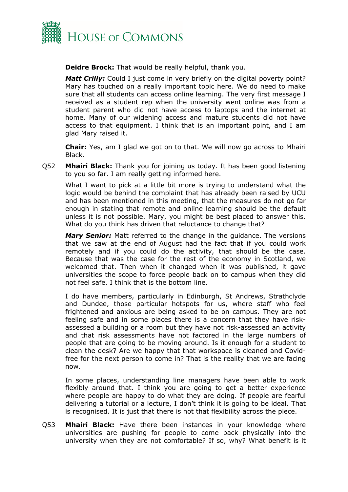

**Deidre Brock:** That would be really helpful, thank you.

*Matt Crilly:* Could I just come in very briefly on the digital poverty point? Mary has touched on a really important topic here. We do need to make sure that all students can access online learning. The very first message I received as a student rep when the university went online was from a student parent who did not have access to laptops and the internet at home. Many of our widening access and mature students did not have access to that equipment. I think that is an important point, and I am glad Mary raised it.

**Chair:** Yes, am I glad we got on to that. We will now go across to Mhairi Black.

Q52 **Mhairi Black:** Thank you for joining us today. It has been good listening to you so far. I am really getting informed here.

What I want to pick at a little bit more is trying to understand what the logic would be behind the complaint that has already been raised by UCU and has been mentioned in this meeting, that the measures do not go far enough in stating that remote and online learning should be the default unless it is not possible. Mary, you might be best placed to answer this. What do you think has driven that reluctance to change that?

*Mary Senior:* Matt referred to the change in the guidance. The versions that we saw at the end of August had the fact that if you could work remotely and if you could do the activity, that should be the case. Because that was the case for the rest of the economy in Scotland, we welcomed that. Then when it changed when it was published, it gave universities the scope to force people back on to campus when they did not feel safe. I think that is the bottom line.

I do have members, particularly in Edinburgh, St Andrews, Strathclyde and Dundee, those particular hotspots for us, where staff who feel frightened and anxious are being asked to be on campus. They are not feeling safe and in some places there is a concern that they have riskassessed a building or a room but they have not risk-assessed an activity and that risk assessments have not factored in the large numbers of people that are going to be moving around. Is it enough for a student to clean the desk? Are we happy that that workspace is cleaned and Covidfree for the next person to come in? That is the reality that we are facing now.

In some places, understanding line managers have been able to work flexibly around that. I think you are going to get a better experience where people are happy to do what they are doing. If people are fearful delivering a tutorial or a lecture, I don't think it is going to be ideal. That is recognised. It is just that there is not that flexibility across the piece.

Q53 **Mhairi Black:** Have there been instances in your knowledge where universities are pushing for people to come back physically into the university when they are not comfortable? If so, why? What benefit is it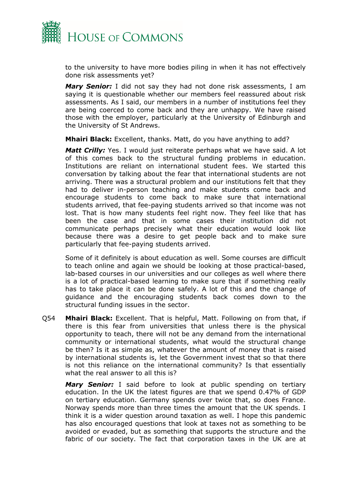

to the university to have more bodies piling in when it has not effectively done risk assessments yet?

*Mary Senior:* I did not say they had not done risk assessments, I am saying it is questionable whether our members feel reassured about risk assessments. As I said, our members in a number of institutions feel they are being coerced to come back and they are unhappy. We have raised those with the employer, particularly at the University of Edinburgh and the University of St Andrews.

**Mhairi Black:** Excellent, thanks. Matt, do you have anything to add?

*Matt Crilly:* Yes. I would just reiterate perhaps what we have said. A lot of this comes back to the structural funding problems in education. Institutions are reliant on international student fees. We started this conversation by talking about the fear that international students are not arriving. There was a structural problem and our institutions felt that they had to deliver in-person teaching and make students come back and encourage students to come back to make sure that international students arrived, that fee-paying students arrived so that income was not lost. That is how many students feel right now. They feel like that has been the case and that in some cases their institution did not communicate perhaps precisely what their education would look like because there was a desire to get people back and to make sure particularly that fee-paying students arrived.

Some of it definitely is about education as well. Some courses are difficult to teach online and again we should be looking at those practical-based, lab-based courses in our universities and our colleges as well where there is a lot of practical-based learning to make sure that if something really has to take place it can be done safely. A lot of this and the change of guidance and the encouraging students back comes down to the structural funding issues in the sector.

Q54 **Mhairi Black:** Excellent. That is helpful, Matt. Following on from that, if there is this fear from universities that unless there is the physical opportunity to teach, there will not be any demand from the international community or international students, what would the structural change be then? Is it as simple as, whatever the amount of money that is raised by international students is, let the Government invest that so that there is not this reliance on the international community? Is that essentially what the real answer to all this is?

*Mary Senior:* I said before to look at public spending on tertiary education. In the UK the latest figures are that we spend 0.47% of GDP on tertiary education. Germany spends over twice that, so does France. Norway spends more than three times the amount that the UK spends. I think it is a wider question around taxation as well. I hope this pandemic has also encouraged questions that look at taxes not as something to be avoided or evaded, but as something that supports the structure and the fabric of our society. The fact that corporation taxes in the UK are at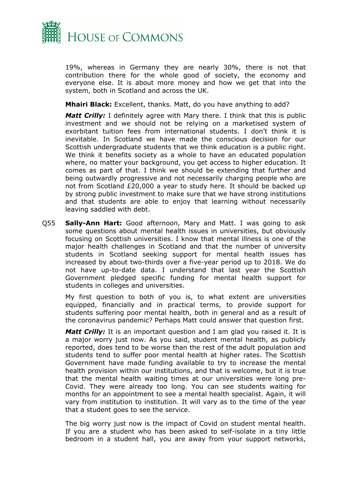

19%, whereas in Germany they are nearly 30%, there is not that contribution there for the whole good of society, the economy and everyone else. It is about more money and how we get that into the system, both in Scotland and across the UK.

**Mhairi Black:** Excellent, thanks. Matt, do you have anything to add?

*Matt Crilly:* I definitely agree with Mary there. I think that this is public investment and we should not be relying on a marketised system of exorbitant tuition fees from international students. I don't think it is inevitable. In Scotland we have made the conscious decision for our Scottish undergraduate students that we think education is a public right. We think it benefits society as a whole to have an educated population where, no matter your background, you get access to higher education. It comes as part of that. I think we should be extending that further and being outwardly progressive and not necessarily charging people who are not from Scotland £20,000 a year to study here. It should be backed up by strong public investment to make sure that we have strong institutions and that students are able to enjoy that learning without necessarily leaving saddled with debt.

Q55 **Sally-Ann Hart:** Good afternoon, Mary and Matt. I was going to ask some questions about mental health issues in universities, but obviously focusing on Scottish universities. I know that mental illness is one of the major health challenges in Scotland and that the number of university students in Scotland seeking support for mental health issues has increased by about two-thirds over a five-year period up to 2018. We do not have up-to-date data. I understand that last year the Scottish Government pledged specific funding for mental health support for students in colleges and universities.

My first question to both of you is, to what extent are universities equipped, financially and in practical terms, to provide support for students suffering poor mental health, both in general and as a result of the coronavirus pandemic? Perhaps Matt could answer that question first.

*Matt Crilly:* It is an important question and I am glad you raised it. It is a major worry just now. As you said, student mental health, as publicly reported, does tend to be worse than the rest of the adult population and students tend to suffer poor mental health at higher rates. The Scottish Government have made funding available to try to increase the mental health provision within our institutions, and that is welcome, but it is true that the mental health waiting times at our universities were long pre-Covid. They were already too long. You can see students waiting for months for an appointment to see a mental health specialist. Again, it will vary from institution to institution. It will vary as to the time of the year that a student goes to see the service.

The big worry just now is the impact of Covid on student mental health. If you are a student who has been asked to self-isolate in a tiny little bedroom in a student hall, you are away from your support networks,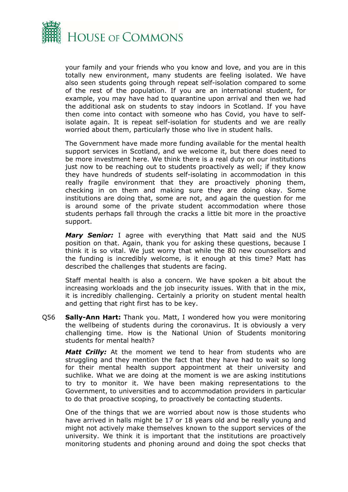

your family and your friends who you know and love, and you are in this totally new environment, many students are feeling isolated. We have also seen students going through repeat self-isolation compared to some of the rest of the population. If you are an international student, for example, you may have had to quarantine upon arrival and then we had the additional ask on students to stay indoors in Scotland. If you have then come into contact with someone who has Covid, you have to selfisolate again. It is repeat self-isolation for students and we are really worried about them, particularly those who live in student halls.

The Government have made more funding available for the mental health support services in Scotland, and we welcome it, but there does need to be more investment here. We think there is a real duty on our institutions just now to be reaching out to students proactively as well; if they know they have hundreds of students self-isolating in accommodation in this really fragile environment that they are proactively phoning them, checking in on them and making sure they are doing okay. Some institutions are doing that, some are not, and again the question for me is around some of the private student accommodation where those students perhaps fall through the cracks a little bit more in the proactive support.

*Mary Senior:* I agree with everything that Matt said and the NUS position on that. Again, thank you for asking these questions, because I think it is so vital. We just worry that while the 80 new counsellors and the funding is incredibly welcome, is it enough at this time? Matt has described the challenges that students are facing.

Staff mental health is also a concern. We have spoken a bit about the increasing workloads and the job insecurity issues. With that in the mix, it is incredibly challenging. Certainly a priority on student mental health and getting that right first has to be key.

Q56 **Sally-Ann Hart:** Thank you. Matt, I wondered how you were monitoring the wellbeing of students during the coronavirus. It is obviously a very challenging time. How is the National Union of Students monitoring students for mental health?

*Matt Crilly:* At the moment we tend to hear from students who are struggling and they mention the fact that they have had to wait so long for their mental health support appointment at their university and suchlike. What we are doing at the moment is we are asking institutions to try to monitor it. We have been making representations to the Government, to universities and to accommodation providers in particular to do that proactive scoping, to proactively be contacting students.

One of the things that we are worried about now is those students who have arrived in halls might be 17 or 18 years old and be really young and might not actively make themselves known to the support services of the university. We think it is important that the institutions are proactively monitoring students and phoning around and doing the spot checks that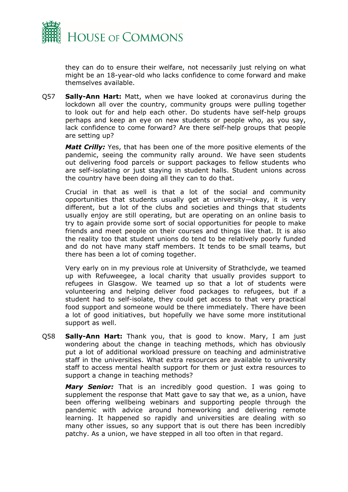

they can do to ensure their welfare, not necessarily just relying on what might be an 18-year-old who lacks confidence to come forward and make themselves available.

Q57 **Sally-Ann Hart:** Matt, when we have looked at coronavirus during the lockdown all over the country, community groups were pulling together to look out for and help each other. Do students have self-help groups perhaps and keep an eye on new students or people who, as you say, lack confidence to come forward? Are there self-help groups that people are setting up?

*Matt Crilly:* Yes, that has been one of the more positive elements of the pandemic, seeing the community rally around. We have seen students out delivering food parcels or support packages to fellow students who are self-isolating or just staying in student halls. Student unions across the country have been doing all they can to do that.

Crucial in that as well is that a lot of the social and community opportunities that students usually get at university—okay, it is very different, but a lot of the clubs and societies and things that students usually enjoy are still operating, but are operating on an online basis to try to again provide some sort of social opportunities for people to make friends and meet people on their courses and things like that. It is also the reality too that student unions do tend to be relatively poorly funded and do not have many staff members. It tends to be small teams, but there has been a lot of coming together.

Very early on in my previous role at University of Strathclyde, we teamed up with Refuweegee, a local charity that usually provides support to refugees in Glasgow. We teamed up so that a lot of students were volunteering and helping deliver food packages to refugees, but if a student had to self-isolate, they could get access to that very practical food support and someone would be there immediately. There have been a lot of good initiatives, but hopefully we have some more institutional support as well.

Q58 **Sally-Ann Hart:** Thank you, that is good to know. Mary, I am just wondering about the change in teaching methods, which has obviously put a lot of additional workload pressure on teaching and administrative staff in the universities. What extra resources are available to university staff to access mental health support for them or just extra resources to support a change in teaching methods?

*Mary Senior:* That is an incredibly good question. I was going to supplement the response that Matt gave to say that we, as a union, have been offering wellbeing webinars and supporting people through the pandemic with advice around homeworking and delivering remote learning. It happened so rapidly and universities are dealing with so many other issues, so any support that is out there has been incredibly patchy. As a union, we have stepped in all too often in that regard.